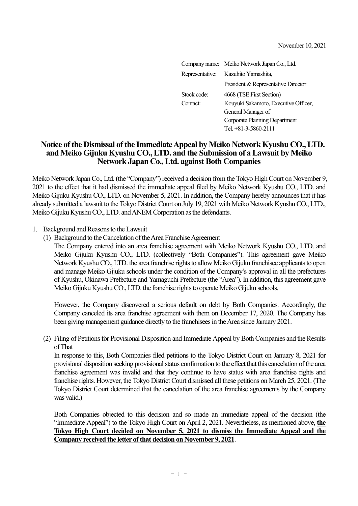|             | Company name: Meiko Network Japan Co., Ltd. |
|-------------|---------------------------------------------|
|             | Representative: Kazuhito Yamashita,         |
|             | President & Representative Director         |
| Stock code: | 4668 (TSE First Section)                    |
| Contact:    | Kouyuki Sakamoto, Executive Officer,        |
|             | General Manager of                          |
|             | Corporate Planning Department               |
|             | Tel. $+81-3-5860-2111$                      |

## **Notice of the Dismissal of the Immediate Appeal by Meiko Network Kyushu CO., LTD. and Meiko Gijuku Kyushu CO., LTD. and the Submission of a Lawsuit by Meiko Network Japan Co., Ltd. against Both Companies**

Meiko Network Japan Co., Ltd. (the "Company") received a decision from the Tokyo High Court on November 9, 2021 to the effect that it had dismissed the immediate appeal filed by Meiko Network Kyushu CO., LTD. and Meiko Gijuku Kyushu CO., LTD. on November 5, 2021. In addition, the Company hereby announces that it has already submitted a lawsuit to the Tokyo District Court on July 19, 2021 with Meiko Network Kyushu CO., LTD., Meiko Gijuku Kyushu CO., LTD. and ANEM Corporation as the defendants.

- 1. Background and Reasons to the Lawsuit
	- (1) Background to the Cancelation of the Area Franchise Agreement

The Company entered into an area franchise agreement with Meiko Network Kyushu CO., LTD. and Meiko Gijuku Kyushu CO., LTD. (collectively "Both Companies"). This agreement gave Meiko Network Kyushu CO., LTD. the area franchise rights to allow Meiko Gijuku franchisee applicants to open and manage Meiko Gijuku schools under the condition of the Company's approval in all the prefectures of Kyushu, Okinawa Prefecture and Yamaguchi Prefecture (the "Area"). In addition, this agreement gave Meiko Gijuku Kyushu CO., LTD. the franchise rights to operate Meiko Gijuku schools.

However, the Company discovered a serious default on debt by Both Companies. Accordingly, the Company canceled its area franchise agreement with them on December 17, 2020. The Company has been giving management guidance directly to the franchisees in the Area since January 2021.

(2) Filing of Petitions for Provisional Disposition and Immediate Appeal by Both Companies and the Results of That

In response to this, Both Companies filed petitions to the Tokyo District Court on January 8, 2021 for provisional disposition seeking provisional status confirmation to the effect that this cancelation of the area franchise agreement was invalid and that they continue to have status with area franchise rights and franchise rights. However, the Tokyo District Court dismissed all these petitions on March 25, 2021. (The Tokyo District Court determined that the cancelation of the area franchise agreements by the Company was valid.)

Both Companies objected to this decision and so made an immediate appeal of the decision (the "Immediate Appeal") to the Tokyo High Court on April 2, 2021. Nevertheless, as mentioned above, **the Tokyo High Court decided on November 5, 2021 to dismiss the Immediate Appeal and the Company received the letter of that decision on November 9, 2021**.